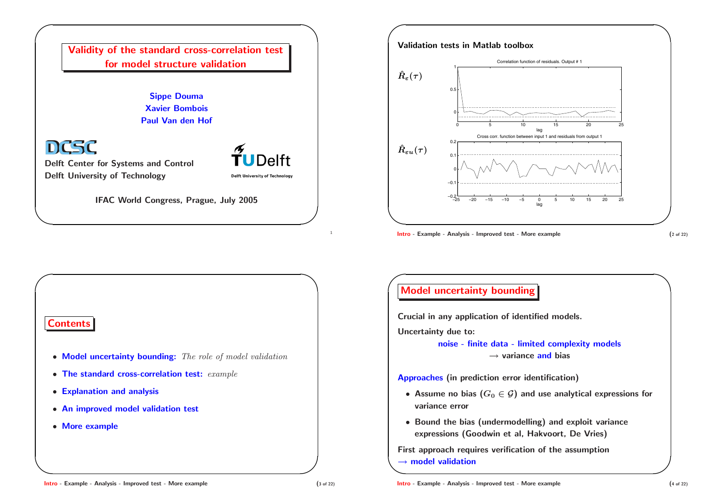



**Intro** - Example - Analysis - Improved test - More example  $(2 \text{ of } 22)$ 

**✩**

### **Contents**

**✬**

 $\setminus$ 

- **Model uncertainty bounding:** *The role of model validation*
- **The standard cross-correlation test:** *example*
- **Explanation and analysis**
- **An improved model validation test**
- **More example**

# **✬ Model uncertainty bounding**

**Crucial in any application of identified models.**

**Uncertainty due to:**

**noise - finite data - limited complexity models** *<sup>→</sup>* **variance and bias**

**Approaches (in prediction error identification)**

- $\bullet$  Assume no bias  $(G_0 \in \mathcal{G})$  and use analytical expressions for **variance error**
- **Bound the bias (undermodelling) and exploit variance expressions (Goodwin et al, Hakvoort, De Vries)**

**✫** *<sup>→</sup>* **model validation First approach requires verification of the assumption**

#### **Intro - Example - Analysis - Improved test - More example (3 of 22)** (3 of 22)

**✪**

**✩**

**✪**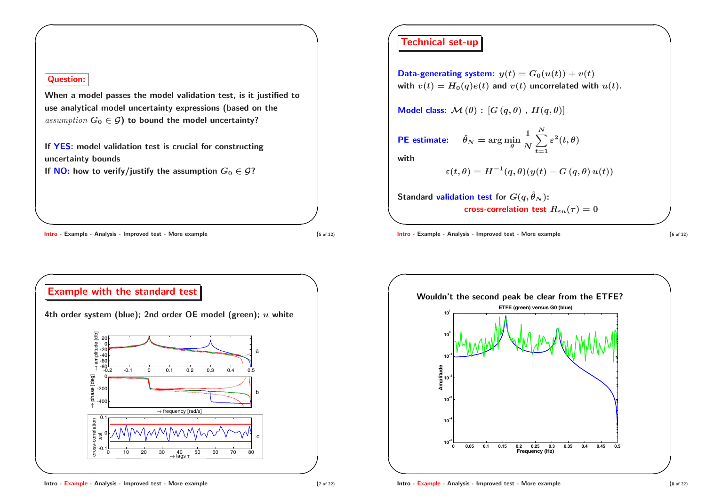### **Question:**

**✬**

 $\setminus$ 

When a model passes the model validation test, is it justified to **use analytical model uncertainty expressions (based on the** *assumption*  $G_0 \in \mathcal{G}$  **to bound the model uncertainty?** 

**If YES: model validation test is crucial for constructing uncertainty bounds**

**If NO:** how to verify/justify the assumption  $G_0 \in \mathcal{G}$ ?

**Intro - Example - Analysis - Improved test - More example (5 of 22)** (5 of 22)

**✪**

**✩**

**✩**



# **✬ Technical set-up**

**Data-generating system:**  $y(t) = G_0(u(t)) + v(t)$ with  $v(t) = H_0(q)e(t)$  and  $v(t)$  uncorrelated with  $u(t)$ .

*Model* **<b>class:**  $\mathcal{M}(\theta)$  **:**  $[G(q, \theta), H(q, \theta)]$ 

 $\mathbf{P}$ **E** estimate:  $\hat{\theta}_N = \arg\min_{\theta} \frac{1}{N} \sum^N \frac{1}{N}$ *t***=1**  $\varepsilon^{\textbf{2}}(t,\theta)$ 

**with**

$$
\varepsilon(t,\theta)=H^{-1}(q,\theta)(y(t)-G(q,\theta)u(t))
$$

**</u>**  $\mathsf{Standard\; validation\; test\; for}\; G(q,\hat{\theta}_N)$  : **cross-correlation test**  $R_{\varepsilon u}(\tau) = 0$ 

**Intro - Example - Analysis - Improved test - More example** (6 of 22)

**✪**

**✩**



**✪**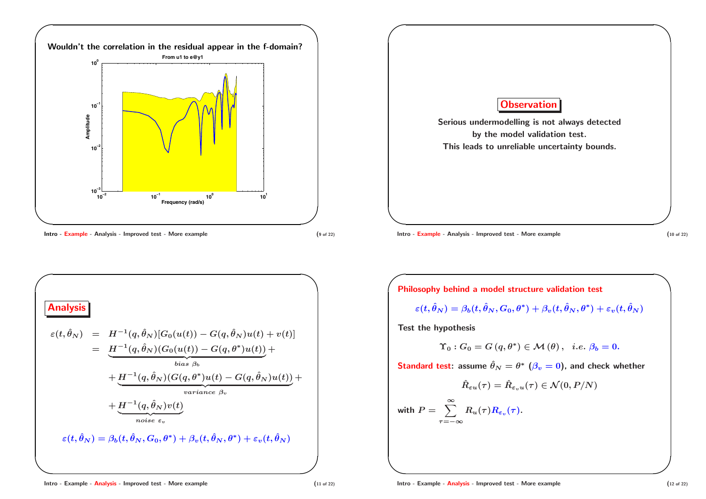





**✬ Philosophy behind <sup>a</sup> model structure validation test**

$$
\varepsilon(t,\hat\theta_N) = \beta_b(t,\hat\theta_N,G_0,\theta^*) + \beta_v(t,\hat\theta_N,\theta^*) + \varepsilon_v(t,\hat\theta_N)
$$

**Test the hypothesis**

 $\setminus$ 

$$
\Upsilon_0: G_0 = G(q, \theta^*) \in \mathcal{M}(\theta), \ \ i.e. \ \beta_b = 0.
$$

Standard test: assume  $\hat{\theta}_N=\theta^*$   $(\beta_v=0)$ , and check whether

$$
\hat{R}_{\varepsilon u}(\tau)=\hat{R}_{\varepsilon_v u}(\tau)\in\mathcal{N}(0,P/N)
$$

with  $P = \sum_{i=1}^{\infty}$ *τ***=***−∞*  $R_u(\tau)R_{\varepsilon_v}(\tau).$ 

**✪**

**✩**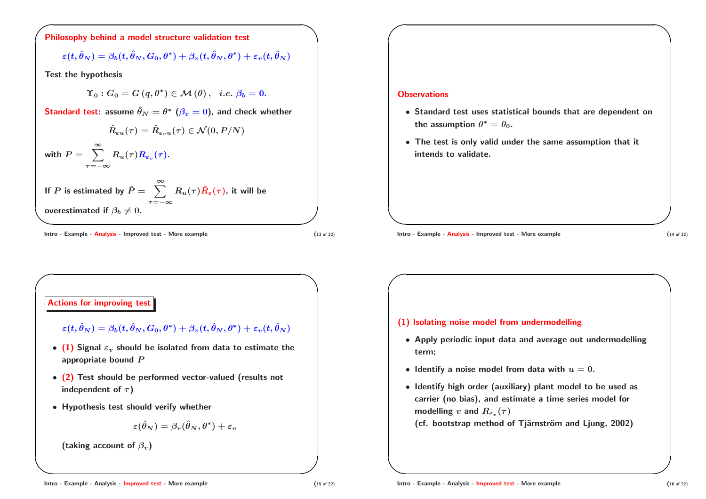

$$
\varepsilon(t,\hat\theta_N) = \beta_b(t,\hat\theta_N,G_0,\theta^*) + \beta_v(t,\hat\theta_N,\theta^*) + \varepsilon_v(t,\hat\theta_N)
$$

**Test the hypothesis**

$$
\Upsilon_0: G_0 = G(q, \theta^*) \in \mathcal{M}(\theta), \ \ i.e. \ \beta_b = 0.
$$

Standard test: assume  $\hat \theta_N = \theta^* \,\, (\beta_v = 0),$  and check whether

**overestimated** if  $\beta_b \neq 0$ .  $\hat{R}_{\varepsilon u}(\tau) = \hat{R}_{\varepsilon_v u}(\tau) \in \mathcal{N}(0,P/N)$ with  $P = \sum_{i=1}^{\infty}$ *τ***=***−∞*  $R_u(\tau)R_{\varepsilon_v}(\tau).$ **If**  $P$  is estimated by  $\hat{P} = \sum_{i=1}^{\infty}$ *τ***=***−∞*  $R_u(\tau) \hat{R}_{\varepsilon}(\tau)$ , it will be

 $Intro - Example - **Analysis - Improved test - More example**$  (13 of 22)

**✪**

**✩**

**✩**

### **Observations**

**✬**

**</u>** 

**✬**

 $\setminus$ 

- **Standard test uses statistical bounds that are dependent on the assumption**  $\theta^* = \theta_0$ .
- **The test is only valid under the same assumption that it intends to validate.**

 $Intro - Example - **Analysis - Improved test - More example**$  (14 of 22)

**✪**

**✩**

**✩**



- **(1) Isolating noise model from undermodelling**
	- **Apply periodic input data and average out undermodelling term;**
	- $\bullet$  <code>ldentify</code> a noise model from data with  $u=0.$
	- **Identify high order (auxiliary) plant model to be used as carrier (no bias), and estimate <sup>a</sup> time series model for modelling**  $v$  and  $R_{\varepsilon_v}(\tau)$
	- **(cf. bootstrap method of Tj¨arnstr¨om and Ljung, 2002)**

**✪**

**✪**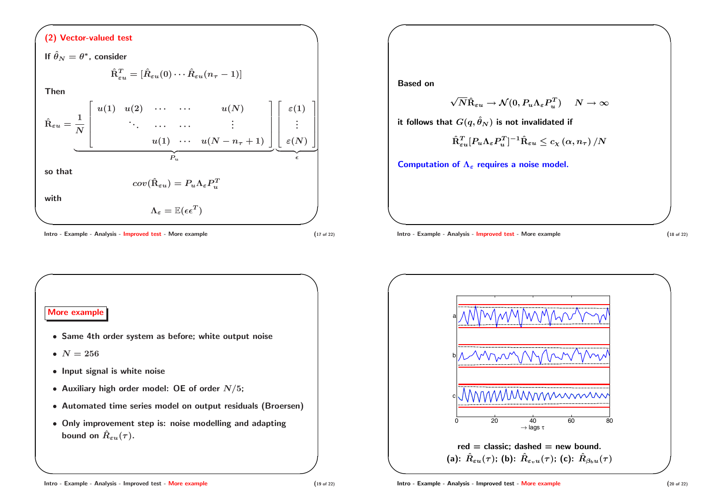## **✬ (2) Vector-valued test**

 $\setminus$ **✪ If**  $\hat{\theta}_N = \theta^*$ , consider  $\hat{\textbf{R}}^T_{\varepsilon u} = [\hat{R}_{\varepsilon u}(0) \cdots \hat{R}_{\varepsilon u}(n_\tau-1)]$ **Then**  $\hat{\mathbf{R}}_{\varepsilon u} = % \sum_{i=1}^n \alpha_i \mathbf{P}_{\varepsilon_i} \cdot \mathbf{P}_{\varepsilon_i} \cdot \mathbf{P}_{\varepsilon_i} \cdot \mathbf{P}_{\varepsilon_i} \cdot \mathbf{P}_{\varepsilon_i} \cdot \mathbf{P}_{\varepsilon_i} \cdot \mathbf{P}_{\varepsilon_i} \cdot \mathbf{P}_{\varepsilon_i} \cdot \mathbf{P}_{\varepsilon_i} \cdot \mathbf{P}_{\varepsilon_i} \cdot \mathbf{P}_{\varepsilon_i} \cdot \mathbf{P}_{\varepsilon_i} \cdot \mathbf{P}_{\varepsilon_i} \cdot \mathbf{P}_{\vare$ **1** *N*  $\begin{bmatrix} u(1) & u(2) & \cdots & \cdots & u(N) \end{bmatrix}$  $\begin{array}{c} \begin{array}{c} \begin{array}{c} \end{array} \end{array} \end{array}$ **. . .** *··· ···* **. . .**  $u(1) \cdots u(N - n_{\tau} + 1)$ 1 *P<sup>u</sup>*  $\left\lceil \right.$   $\varepsilon(1)$  $\begin{array}{c} \begin{array}{c} \begin{array}{c} \end{array} \end{array} \end{array}$ **. . .** *<sup>ε</sup>***(***N***)** -  $\epsilon$ **so that**  $cov(\hat{\textbf{R}}_{\varepsilon u}) = P_u \Lambda_{\varepsilon} P_u^T$ **with**  $\Lambda_{\varepsilon} = \mathbb{E}(\epsilon \epsilon^T)$ 

Intro - Example - Analysis - Improved test - More example (17 of 22)

**✩**

1

**Based on**

**✬**

**</u>** 

$$
\sqrt{N}\hat{\boldsymbol{\rm R}}_{\varepsilon u}\rightarrow \mathcal{N}(0,P_u\Lambda_{\varepsilon}P_u^T) \quad \ \ N\rightarrow \infty
$$

**it** follows that  $G(q, \hat{\theta}_N)$  is not invalidated if

$$
\hat{\mathrm{R}}^T_{\varepsilon u} [P_u \Lambda_\varepsilon P_u^T]^{-1} \hat{\mathrm{R}}_{\varepsilon u} \leq c_{\chi} \left( \alpha, n_\tau \right) / N
$$

**Computation of**  $\Lambda_{\varepsilon}$  **requires** a noise model.

 $Intro - Example - Analysis - Improved test - More example$  (18 of 22)

**✪**

**✩**





#### Intro - Example - Analysis - Improved test - More example (19 of 22)